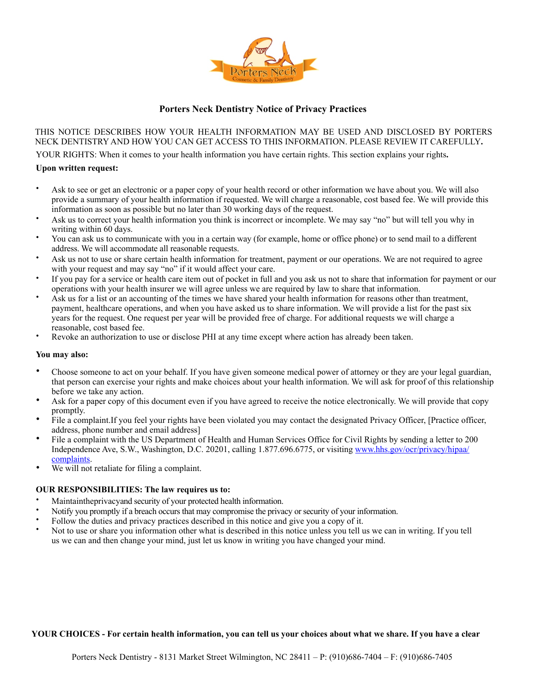

# **Porters Neck Dentistry Notice of Privacy Practices**

THIS NOTICE DESCRIBES HOW YOUR HEALTH INFORMATION MAY BE USED AND DISCLOSED BY PORTERS NECK DENTISTRY AND HOW YOU CAN GET ACCESS TO THIS INFORMATION. PLEASE REVIEW IT CAREFULLY**.** 

YOUR RIGHTS: When it comes to your health information you have certain rights. This section explains your rights**.** 

## **Upon written request:**

- Ask to see or get an electronic or a paper copy of your health record or other information we have about you. We will also provide a summary of your health information if requested. We will charge a reasonable, cost based fee. We will provide this information as soon as possible but no later than 30 working days of the request.
- Ask us to correct your health information you think is incorrect or incomplete. We may say "no" but will tell you why in writing within 60 days.
- You can ask us to communicate with you in a certain way (for example, home or office phone) or to send mail to a different address. We will accommodate all reasonable requests.
- Ask us not to use or share certain health information for treatment, payment or our operations. We are not required to agree with your request and may say "no" if it would affect your care.
- If you pay for a service or health care item out of pocket in full and you ask us not to share that information for payment or our operations with your health insurer we will agree unless we are required by law to share that information.
- Ask us for a list or an accounting of the times we have shared your health information for reasons other than treatment, payment, healthcare operations, and when you have asked us to share information. We will provide a list for the past six years for the request. One request per year will be provided free of charge. For additional requests we will charge a reasonable, cost based fee.
- Revoke an authorization to use or disclose PHI at any time except where action has already been taken.

#### **You may also:**

- Choose someone to act on your behalf. If you have given someone medical power of attorney or they are your legal guardian, that person can exercise your rights and make choices about your health information. We will ask for proof of this relationship before we take any action.
- Ask for a paper copy of this document even if you have agreed to receive the notice electronically. We will provide that copy promptly.
- File a complaint.If you feel your rights have been violated you may contact the designated Privacy Officer, [Practice officer, address, phone number and email address]
- File a complaint with the US Department of Health and Human Services Office for Civil Rights by sending a letter to 200 Independence Ave, S.W., Washington, D.C. 20201, calling 1.877.696.6775, or visiting [www.hhs.gov/ocr/privacy/hipaa/](http://www.hhs.gov/ocr/privacy/hipaa/complaints) [complaints.](http://www.hhs.gov/ocr/privacy/hipaa/complaints)
- We will not retaliate for filing a complaint.

## **OUR RESPONSIBILITIES: The law requires us to:**

- Maintaintheprivacyand security of your protected health information.
- Notify you promptly if a breach occurs that may compromise the privacy or security of your information.
- Follow the duties and privacy practices described in this notice and give you a copy of it.
- Not to use or share you information other what is described in this notice unless you tell us we can in writing. If you tell us we can and then change your mind, just let us know in writing you have changed your mind.

## **YOUR CHOICES - For certain health information, you can tell us your choices about what we share. If you have a clear**